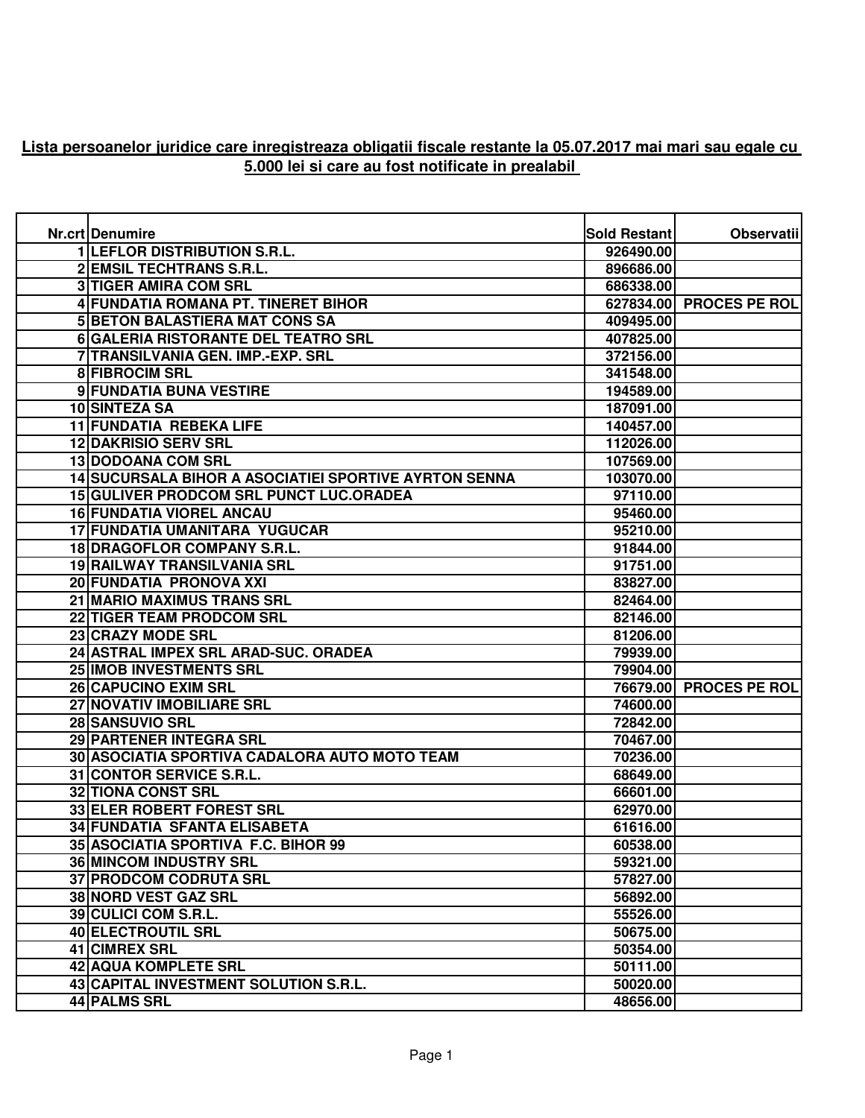## **Lista persoanelor juridice care inregistreaza obligatii fiscale restante la 05.07.2017 mai mari sau egale cu 5.000 lei si care au fost notificate in prealabil**

| Nr.crt Denumire                                       | <b>Sold Restant</b> | <b>Observatii</b>       |
|-------------------------------------------------------|---------------------|-------------------------|
| <b>1 LEFLOR DISTRIBUTION S.R.L.</b>                   | 926490.00           |                         |
| <b>2 EMSIL TECHTRANS S.R.L.</b>                       | 896686.00           |                         |
| <b>3 TIGER AMIRA COM SRL</b>                          | 686338.00           |                         |
| 4 FUNDATIA ROMANA PT. TINERET BIHOR                   |                     | 627834.00 PROCES PE ROL |
| <b>5 BETON BALASTIERA MAT CONS SA</b>                 | 409495.00           |                         |
| 6 GALERIA RISTORANTE DEL TEATRO SRL                   | 407825.00           |                         |
| 7 TRANSILVANIA GEN. IMP.-EXP. SRL                     | 372156.00           |                         |
| <b>8 FIBROCIM SRL</b>                                 | 341548.00           |                         |
| 9 FUNDATIA BUNA VESTIRE                               | 194589.00           |                         |
| 10 SINTEZA SA                                         | 187091.00           |                         |
| 11 FUNDATIA REBEKA LIFE                               | 140457.00           |                         |
| <b>12 DAKRISIO SERV SRL</b>                           | 112026.00           |                         |
| <b>13 DODOANA COM SRL</b>                             | 107569.00           |                         |
| 14 SUCURSALA BIHOR A ASOCIATIEI SPORTIVE AYRTON SENNA | 103070.00           |                         |
| <b>15 GULIVER PRODCOM SRL PUNCT LUC.ORADEA</b>        | 97110.00            |                         |
| <b>16 FUNDATIA VIOREL ANCAU</b>                       | 95460.00            |                         |
| 17 FUNDATIA UMANITARA YUGUCAR                         | 95210.00            |                         |
| 18 DRAGOFLOR COMPANY S.R.L.                           | 91844.00            |                         |
| 19 RAILWAY TRANSILVANIA SRL                           | 91751.00            |                         |
| 20 FUNDATIA PRONOVA XXI                               | 83827.00            |                         |
| 21 MARIO MAXIMUS TRANS SRL                            | 82464.00            |                         |
| 22 TIGER TEAM PRODCOM SRL                             | 82146.00            |                         |
| 23 CRAZY MODE SRL                                     | 81206.00            |                         |
| 24 ASTRAL IMPEX SRL ARAD-SUC. ORADEA                  | 79939.00            |                         |
| 25 IMOB INVESTMENTS SRL                               | 79904.00            |                         |
| <b>26 CAPUCINO EXIM SRL</b>                           |                     | 76679.00 PROCES PE ROL  |
| 27 NOVATIV IMOBILIARE SRL                             | 74600.00            |                         |
| <b>28 SANSUVIO SRL</b>                                | 72842.00            |                         |
| 29 PARTENER INTEGRA SRL                               | 70467.00            |                         |
| 30 ASOCIATIA SPORTIVA CADALORA AUTO MOTO TEAM         | 70236.00            |                         |
| 31 CONTOR SERVICE S.R.L.                              | 68649.00            |                         |
| <b>32 TIONA CONST SRL</b>                             | 66601.00            |                         |
| 33 ELER ROBERT FOREST SRL                             | 62970.00            |                         |
| <b>34 FUNDATIA SFANTA ELISABETA</b>                   | 61616.00            |                         |
| 35 ASOCIATIA SPORTIVA F.C. BIHOR 99                   | 60538.00            |                         |
| <b>36 MINCOM INDUSTRY SRL</b>                         | 59321.00            |                         |
| <b>37 PRODCOM CODRUTA SRL</b>                         | 57827.00            |                         |
| 38 NORD VEST GAZ SRL                                  | 56892.00            |                         |
| 39 CULICI COM S.R.L.                                  | 55526.00            |                         |
| 40 ELECTROUTIL SRL                                    | 50675.00            |                         |
| 41 CIMREX SRL                                         | 50354.00            |                         |
| 42 AQUA KOMPLETE SRL                                  | 50111.00            |                         |
| 43 CAPITAL INVESTMENT SOLUTION S.R.L.                 | 50020.00            |                         |
| <b>44 PALMS SRL</b>                                   | 48656.00            |                         |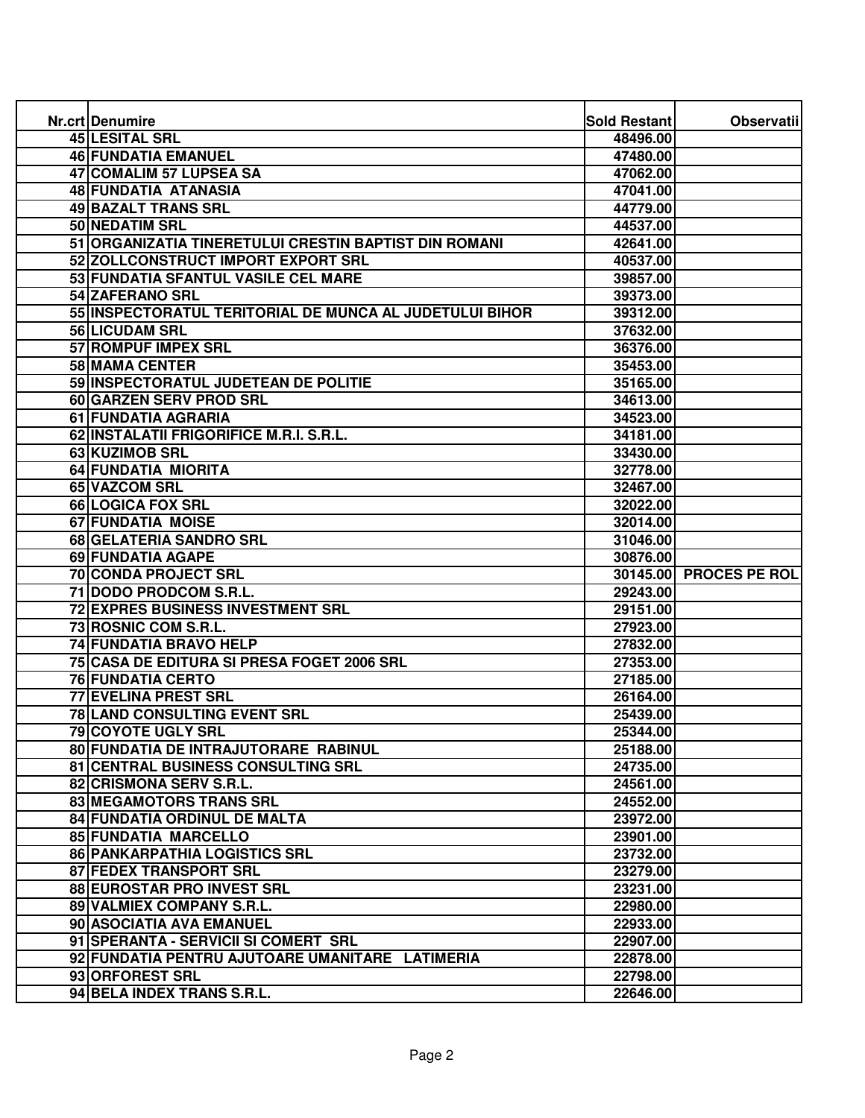| Nr.crt Denumire                                         | <b>Sold Restant</b> | Observatii             |
|---------------------------------------------------------|---------------------|------------------------|
| 45 LESITAL SRL                                          | 48496.00            |                        |
| <b>46 FUNDATIA EMANUEL</b>                              | 47480.00            |                        |
| 47 COMALIM 57 LUPSEA SA                                 | 47062.00            |                        |
| <b>48 FUNDATIA ATANASIA</b>                             | 47041.00            |                        |
| 49 BAZALT TRANS SRL                                     | 44779.00            |                        |
| 50 NEDATIM SRL                                          | 44537.00            |                        |
| 51 ORGANIZATIA TINERETULUI CRESTIN BAPTIST DIN ROMANI   | 42641.00            |                        |
| 52 ZOLLCONSTRUCT IMPORT EXPORT SRL                      | 40537.00            |                        |
| 53 FUNDATIA SFANTUL VASILE CEL MARE                     | 39857.00            |                        |
| 54 ZAFERANO SRL                                         | 39373.00            |                        |
| 55 INSPECTORATUL TERITORIAL DE MUNCA AL JUDETULUI BIHOR | 39312.00            |                        |
| 56 LICUDAM SRL                                          | 37632.00            |                        |
| 57 ROMPUF IMPEX SRL                                     | 36376.00            |                        |
| 58 MAMA CENTER                                          | 35453.00            |                        |
| 59 INSPECTORATUL JUDETEAN DE POLITIE                    | 35165.00            |                        |
| 60 GARZEN SERV PROD SRL                                 | 34613.00            |                        |
| 61 FUNDATIA AGRARIA                                     | 34523.00            |                        |
| 62 INSTALATII FRIGORIFICE M.R.I. S.R.L.                 | 34181.00            |                        |
| 63 KUZIMOB SRL                                          | 33430.00            |                        |
| 64 FUNDATIA MIORITA                                     | 32778.00            |                        |
| 65 VAZCOM SRL                                           | 32467.00            |                        |
| <b>66 LOGICA FOX SRL</b>                                | 32022.00            |                        |
| <b>67 FUNDATIA MOISE</b>                                | 32014.00            |                        |
| 68 GELATERIA SANDRO SRL                                 | 31046.00            |                        |
| <b>69 FUNDATIA AGAPE</b>                                | 30876.00            |                        |
| <b>70 CONDA PROJECT SRL</b>                             |                     | 30145.00 PROCES PE ROL |
| 71 DODO PRODCOM S.R.L.                                  | 29243.00            |                        |
| <b>72 EXPRES BUSINESS INVESTMENT SRL</b>                | 29151.00            |                        |
| 73 ROSNIC COM S.R.L.                                    | 27923.00            |                        |
| 74 FUNDATIA BRAVO HELP                                  | 27832.00            |                        |
| 75 CASA DE EDITURA SI PRESA FOGET 2006 SRL              | 27353.00            |                        |
| <b>76 FUNDATIA CERTO</b>                                | 27185.00            |                        |
| 77 EVELINA PREST SRL                                    | 26164.00            |                        |
| 78 LAND CONSULTING EVENT SRL                            | 25439.00            |                        |
| <b>79 COYOTE UGLY SRL</b>                               | 25344.00            |                        |
| 80 FUNDATIA DE INTRAJUTORARE RABINUL                    | 25188.00            |                        |
| 81 CENTRAL BUSINESS CONSULTING SRL                      | 24735.00            |                        |
| 82 CRISMONA SERV S.R.L.                                 | 24561.00            |                        |
| 83 MEGAMOTORS TRANS SRL                                 | 24552.00            |                        |
| 84 FUNDATIA ORDINUL DE MALTA                            | 23972.00            |                        |
| <b>85 FUNDATIA MARCELLO</b>                             | 23901.00            |                        |
| 86 PANKARPATHIA LOGISTICS SRL                           | 23732.00            |                        |
| 87 FEDEX TRANSPORT SRL                                  | 23279.00            |                        |
| 88 EUROSTAR PRO INVEST SRL                              | 23231.00            |                        |
| 89 VALMIEX COMPANY S.R.L.                               | 22980.00            |                        |
| 90 ASOCIATIA AVA EMANUEL                                | 22933.00            |                        |
| 91 SPERANTA - SERVICII SI COMERT SRL                    | 22907.00            |                        |
| 92 FUNDATIA PENTRU AJUTOARE UMANITARE LATIMERIA         | 22878.00            |                        |
| 93 ORFOREST SRL                                         | 22798.00            |                        |
| 94 BELA INDEX TRANS S.R.L.                              | 22646.00            |                        |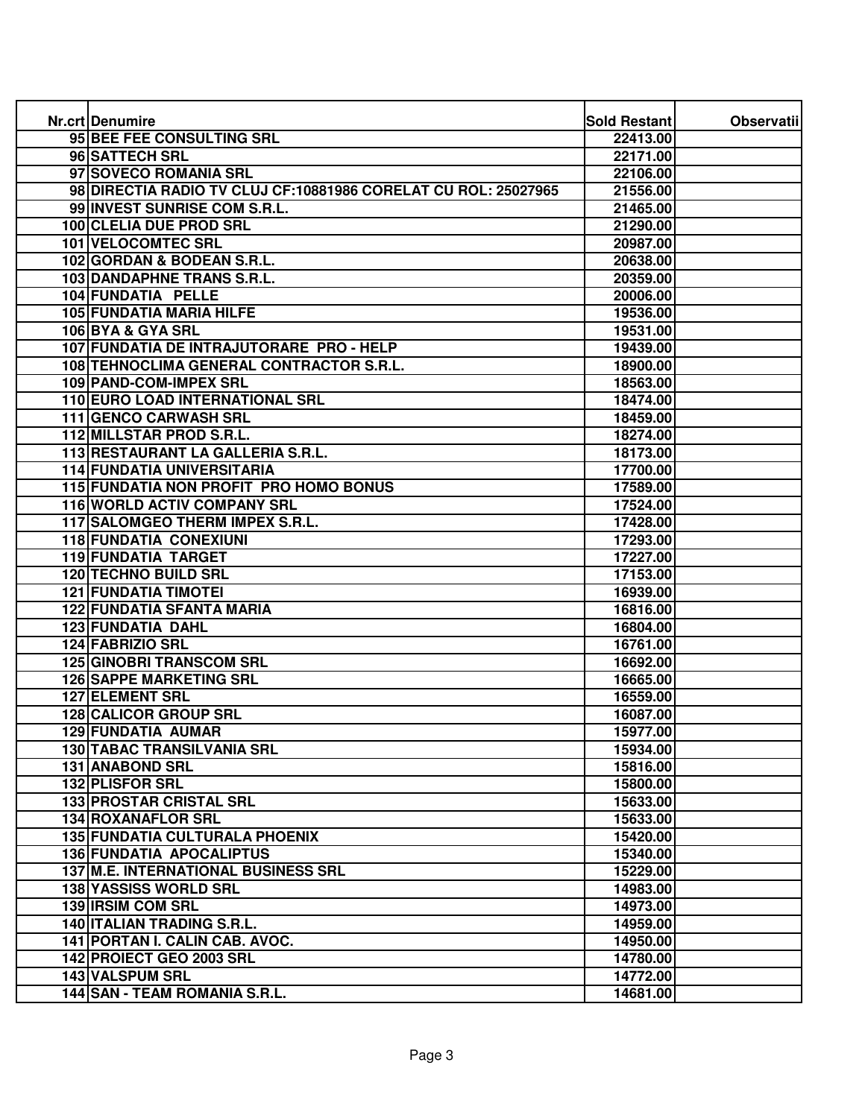| Nr.crt Denumire                                                | Sold Restant | <b>Observatii</b> |
|----------------------------------------------------------------|--------------|-------------------|
| 95 BEE FEE CONSULTING SRL                                      | 22413.00     |                   |
| 96 SATTECH SRL                                                 | 22171.00     |                   |
| 97 SOVECO ROMANIA SRL                                          | 22106.00     |                   |
| 98 DIRECTIA RADIO TV CLUJ CF:10881986 CORELAT CU ROL: 25027965 | 21556.00     |                   |
| 99 INVEST SUNRISE COM S.R.L.                                   | 21465.00     |                   |
| 100 CLELIA DUE PROD SRL                                        | 21290.00     |                   |
| <b>101 VELOCOMTEC SRL</b>                                      | 20987.00     |                   |
| 102 GORDAN & BODEAN S.R.L.                                     | 20638.00     |                   |
| 103 DANDAPHNE TRANS S.R.L.                                     | 20359.00     |                   |
| 104 FUNDATIA PELLE                                             | 20006.00     |                   |
| 105 FUNDATIA MARIA HILFE                                       | 19536.00     |                   |
| 106 BYA & GYA SRL                                              | 19531.00     |                   |
| 107 FUNDATIA DE INTRAJUTORARE PRO - HELP                       | 19439.00     |                   |
| 108 TEHNOCLIMA GENERAL CONTRACTOR S.R.L.                       | 18900.00     |                   |
| <b>109 PAND-COM-IMPEX SRL</b>                                  | 18563.00     |                   |
| 110 EURO LOAD INTERNATIONAL SRL                                | 18474.00     |                   |
| 111 GENCO CARWASH SRL                                          | 18459.00     |                   |
| 112 MILLSTAR PROD S.R.L.                                       | 18274.00     |                   |
| 113 RESTAURANT LA GALLERIA S.R.L.                              | 18173.00     |                   |
| <b>114 FUNDATIA UNIVERSITARIA</b>                              | 17700.00     |                   |
| 115 FUNDATIA NON PROFIT PRO HOMO BONUS                         | 17589.00     |                   |
| 116 WORLD ACTIV COMPANY SRL                                    | 17524.00     |                   |
| 117 SALOMGEO THERM IMPEX S.R.L.                                | 17428.00     |                   |
| <b>118 FUNDATIA CONEXIUNI</b>                                  | 17293.00     |                   |
| <b>119 FUNDATIA TARGET</b>                                     | 17227.00     |                   |
| <b>120 TECHNO BUILD SRL</b>                                    | 17153.00     |                   |
| <b>121 FUNDATIA TIMOTEI</b>                                    | 16939.00     |                   |
| <b>122 FUNDATIA SFANTA MARIA</b>                               | 16816.00     |                   |
| 123 FUNDATIA DAHL                                              | 16804.00     |                   |
| 124 FABRIZIO SRL                                               | 16761.00     |                   |
| <b>125 GINOBRI TRANSCOM SRL</b>                                | 16692.00     |                   |
| <b>126 SAPPE MARKETING SRL</b>                                 | 16665.00     |                   |
| <b>127 ELEMENT SRL</b>                                         | 16559.00     |                   |
| 128 CALICOR GROUP SRL                                          | 16087.00     |                   |
| 129 FUNDATIA AUMAR                                             | 15977.00     |                   |
| 130 TABAC TRANSILVANIA SRL                                     | 15934.00     |                   |
| 131 ANABOND SRL                                                | 15816.00     |                   |
| 132 PLISFOR SRL                                                | 15800.00     |                   |
| 133 PROSTAR CRISTAL SRL                                        | 15633.00     |                   |
| <b>134 ROXANAFLOR SRL</b>                                      | 15633.00     |                   |
| 135 FUNDATIA CULTURALA PHOENIX                                 | 15420.00     |                   |
| <b>136 FUNDATIA APOCALIPTUS</b>                                | 15340.00     |                   |
| 137 M.E. INTERNATIONAL BUSINESS SRL                            | 15229.00     |                   |
| 138 YASSISS WORLD SRL                                          | 14983.00     |                   |
| 139 IRSIM COM SRL                                              | 14973.00     |                   |
| 140 ITALIAN TRADING S.R.L.                                     | 14959.00     |                   |
| 141 PORTAN I. CALIN CAB. AVOC.                                 | 14950.00     |                   |
| 142 PROIECT GEO 2003 SRL                                       | 14780.00     |                   |
| 143 VALSPUM SRL                                                | 14772.00     |                   |
| 144 SAN - TEAM ROMANIA S.R.L.                                  | 14681.00     |                   |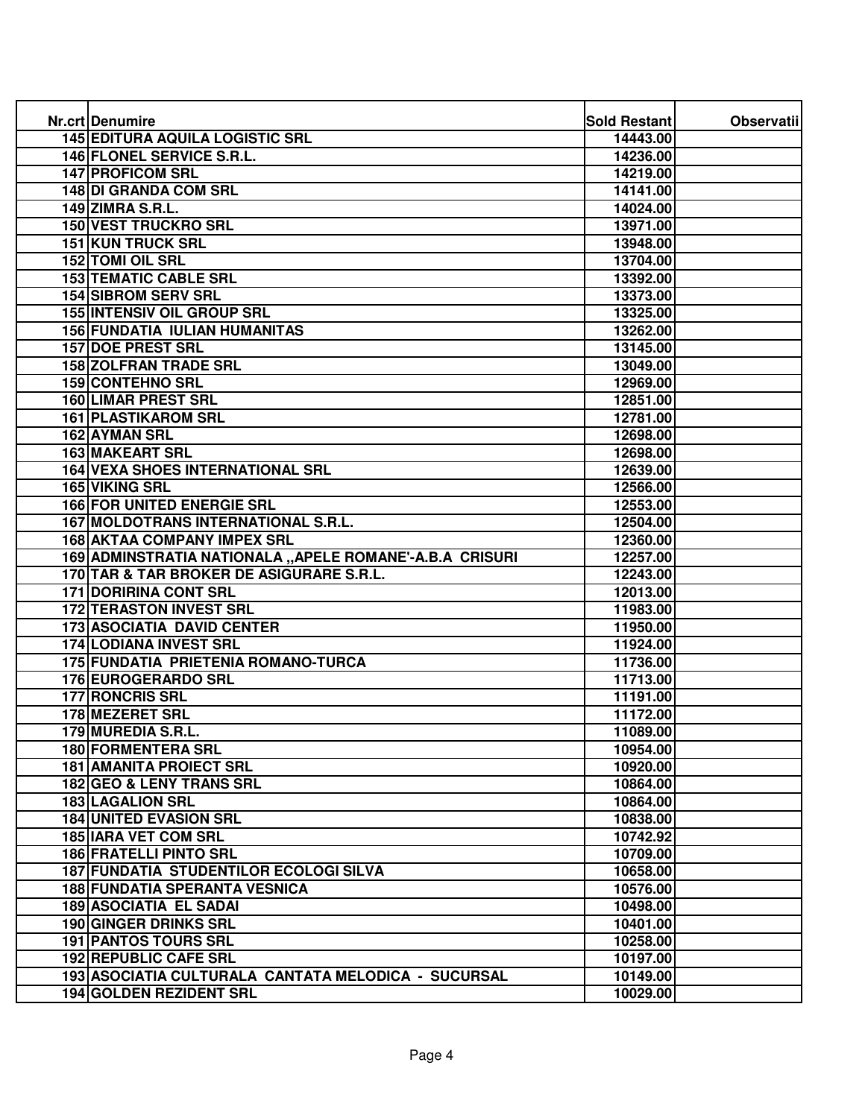| Nr.crt Denumire                                         | Sold Restant | <b>Observatii</b> |
|---------------------------------------------------------|--------------|-------------------|
| <b>145 EDITURA AQUILA LOGISTIC SRL</b>                  | 14443.00     |                   |
| <b>146 FLONEL SERVICE S.R.L.</b>                        | 14236.00     |                   |
| <b>147 PROFICOM SRL</b>                                 | 14219.00     |                   |
| 148 DI GRANDA COM SRL                                   | 14141.00     |                   |
| <b>149 ZIMRA S.R.L.</b>                                 | 14024.00     |                   |
| <b>150 VEST TRUCKRO SRL</b>                             | 13971.00     |                   |
| <b>151 KUN TRUCK SRL</b>                                | 13948.00     |                   |
| <b>152 TOMI OIL SRL</b>                                 | 13704.00     |                   |
| <b>153 TEMATIC CABLE SRL</b>                            | 13392.00     |                   |
| <b>154 SIBROM SERV SRL</b>                              | 13373.00     |                   |
| <b>155 INTENSIV OIL GROUP SRL</b>                       | 13325.00     |                   |
| <b>156 FUNDATIA IULIAN HUMANITAS</b>                    | 13262.00     |                   |
| <b>157 DOE PREST SRL</b>                                | 13145.00     |                   |
| <b>158 ZOLFRAN TRADE SRL</b>                            | 13049.00     |                   |
| 159 CONTEHNO SRL                                        | 12969.00     |                   |
| <b>160 LIMAR PREST SRL</b>                              | 12851.00     |                   |
| <b>161 PLASTIKAROM SRL</b>                              | 12781.00     |                   |
| <b>162 AYMAN SRL</b>                                    | 12698.00     |                   |
| <b>163 MAKEART SRL</b>                                  | 12698.00     |                   |
| <b>164 VEXA SHOES INTERNATIONAL SRL</b>                 | 12639.00     |                   |
| 165 VIKING SRL                                          | 12566.00     |                   |
| <b>166 FOR UNITED ENERGIE SRL</b>                       | 12553.00     |                   |
| 167 MOLDOTRANS INTERNATIONAL S.R.L.                     | 12504.00     |                   |
| <b>168 AKTAA COMPANY IMPEX SRL</b>                      | 12360.00     |                   |
| 169 ADMINSTRATIA NATIONALA "APELE ROMANE'-A.B.A CRISURI | 12257.00     |                   |
| 170 TAR & TAR BROKER DE ASIGURARE S.R.L.                | 12243.00     |                   |
| <b>171 DORIRINA CONT SRL</b>                            | 12013.00     |                   |
| <b>172 TERASTON INVEST SRL</b>                          | 11983.00     |                   |
| <b>173 ASOCIATIA DAVID CENTER</b>                       | 11950.00     |                   |
| 174 LODIANA INVEST SRL                                  | 11924.00     |                   |
| <b>175 FUNDATIA PRIETENIA ROMANO-TURCA</b>              | 11736.00     |                   |
| 176 EUROGERARDO SRL                                     | 11713.00     |                   |
| <b>177 RONCRIS SRL</b>                                  | 11191.00     |                   |
| 178 MEZERET SRL                                         | 11172.00     |                   |
| 179 MUREDIA S.R.L                                       | 11089.00     |                   |
| <b>180 FORMENTERA SRL</b>                               | 10954.00     |                   |
| <b>181 AMANITA PROIECT SRL</b>                          | 10920.00     |                   |
| 182 GEO & LENY TRANS SRL                                | 10864.00     |                   |
| <b>183 LAGALION SRL</b>                                 | 10864.00     |                   |
| <b>184 UNITED EVASION SRL</b>                           | 10838.00     |                   |
| <b>185 IARA VET COM SRL</b>                             | 10742.92     |                   |
| <b>186 FRATELLI PINTO SRL</b>                           | 10709.00     |                   |
| 187 FUNDATIA STUDENTILOR ECOLOGI SILVA                  | 10658.00     |                   |
| <b>188 FUNDATIA SPERANTA VESNICA</b>                    | 10576.00     |                   |
| <b>189 ASOCIATIA EL SADAI</b>                           | 10498.00     |                   |
| 190 GINGER DRINKS SRL                                   | 10401.00     |                   |
| <b>191 PANTOS TOURS SRL</b>                             | 10258.00     |                   |
| 192 REPUBLIC CAFE SRL                                   | 10197.00     |                   |
| 193 ASOCIATIA CULTURALA CANTATA MELODICA - SUCURSAL     | 10149.00     |                   |
| 194 GOLDEN REZIDENT SRL                                 | 10029.00     |                   |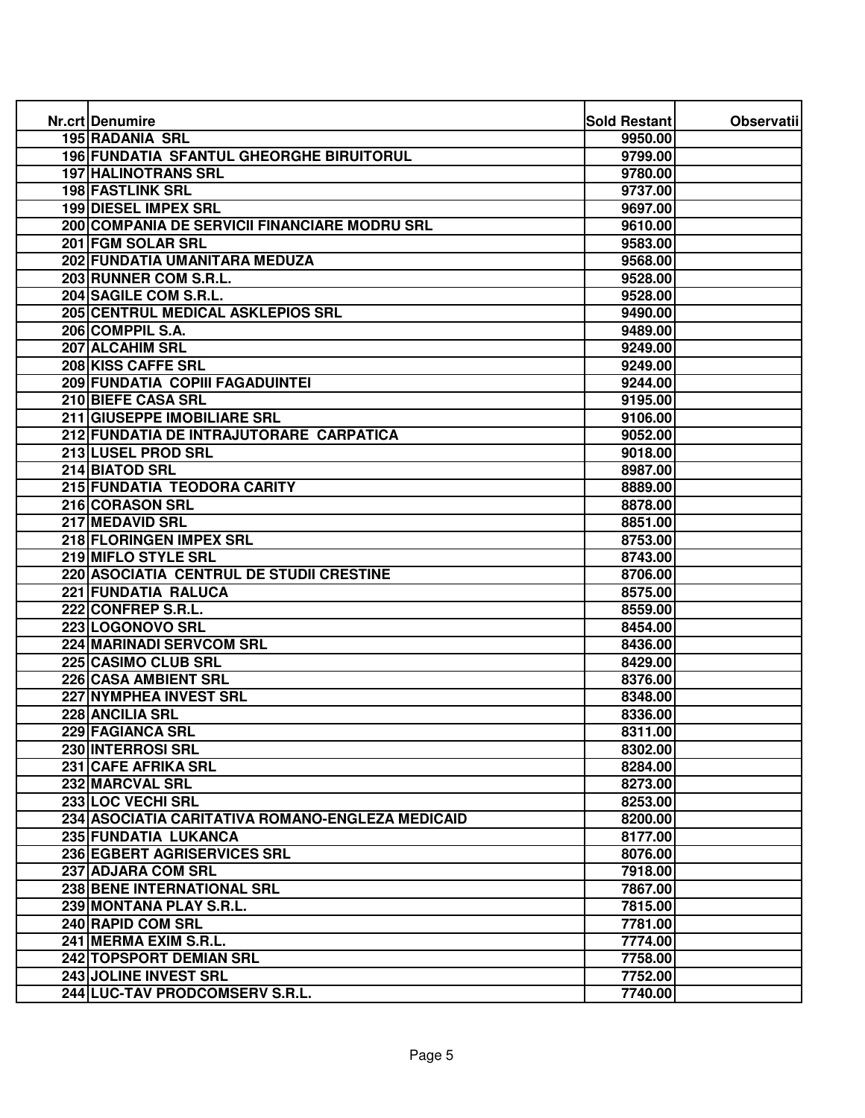| Nr.crt Denumire                                  | Sold Restant | <b>Observatii</b> |
|--------------------------------------------------|--------------|-------------------|
| <b>195 RADANIA SRL</b>                           | 9950.00      |                   |
| 196 FUNDATIA SFANTUL GHEORGHE BIRUITORUL         | 9799.00      |                   |
| <b>197 HALINOTRANS SRL</b>                       | 9780.00      |                   |
| <b>198 FASTLINK SRL</b>                          | 9737.00      |                   |
| 199 DIESEL IMPEX SRL                             | 9697.00      |                   |
| 200 COMPANIA DE SERVICII FINANCIARE MODRU SRL    | 9610.00      |                   |
| 201 FGM SOLAR SRL                                | 9583.00      |                   |
| 202 FUNDATIA UMANITARA MEDUZA                    | 9568.00      |                   |
| 203 RUNNER COM S.R.L.                            | 9528.00      |                   |
| 204 SAGILE COM S.R.L.                            | 9528.00      |                   |
| 205 CENTRUL MEDICAL ASKLEPIOS SRL                | 9490.00      |                   |
| 206 COMPPIL S.A.                                 | 9489.00      |                   |
| 207 ALCAHIM SRL                                  | 9249.00      |                   |
| 208 KISS CAFFE SRL                               | 9249.00      |                   |
| 209 FUNDATIA COPIII FAGADUINTEI                  | 9244.00      |                   |
| 210 BIEFE CASA SRL                               | 9195.00      |                   |
| 211 GIUSEPPE IMOBILIARE SRL                      | 9106.00      |                   |
| 212 FUNDATIA DE INTRAJUTORARE CARPATICA          | 9052.00      |                   |
| 213 LUSEL PROD SRL                               | 9018.00      |                   |
| 214 BIATOD SRL                                   | 8987.00      |                   |
| 215 FUNDATIA TEODORA CARITY                      | 8889.00      |                   |
| 216 CORASON SRL                                  | 8878.00      |                   |
| 217 MEDAVID SRL                                  | 8851.00      |                   |
| 218 FLORINGEN IMPEX SRL                          | 8753.00      |                   |
| 219 MIFLO STYLE SRL                              | 8743.00      |                   |
| 220 ASOCIATIA CENTRUL DE STUDII CRESTINE         | 8706.00      |                   |
| <b>221 FUNDATIA RALUCA</b>                       | 8575.00      |                   |
| 222 CONFREP S.R.L.                               | 8559.00      |                   |
| 223 LOGONOVO SRL                                 | 8454.00      |                   |
| 224 MARINADI SERVCOM SRL                         | 8436.00      |                   |
| 225 CASIMO CLUB SRL                              | 8429.00      |                   |
| 226 CASA AMBIENT SRL                             | 8376.00      |                   |
| 227 NYMPHEA INVEST SRL                           | 8348.00      |                   |
| 228 ANCILIA SRL                                  | 8336.00      |                   |
| 229 FAGIANCA SRL                                 | 8311.00      |                   |
| 230 INTERROSI SRL                                | 8302.00      |                   |
| 231 CAFE AFRIKA SRL                              | 8284.00      |                   |
| 232 MARCVAL SRL                                  | 8273.00      |                   |
| 233 LOC VECHI SRL                                | 8253.00      |                   |
| 234 ASOCIATIA CARITATIVA ROMANO-ENGLEZA MEDICAID | 8200.00      |                   |
| 235 FUNDATIA LUKANCA                             | 8177.00      |                   |
| 236 EGBERT AGRISERVICES SRL                      | 8076.00      |                   |
| 237 ADJARA COM SRL                               | 7918.00      |                   |
| 238 BENE INTERNATIONAL SRL                       | 7867.00      |                   |
| 239 MONTANA PLAY S.R.L.                          | 7815.00      |                   |
| 240 RAPID COM SRL                                | 7781.00      |                   |
| 241 MERMA EXIM S.R.L.                            | 7774.00      |                   |
| 242 TOPSPORT DEMIAN SRL                          | 7758.00      |                   |
| 243 JOLINE INVEST SRL                            | 7752.00      |                   |
| 244 LUC-TAV PRODCOMSERV S.R.L.                   | 7740.00      |                   |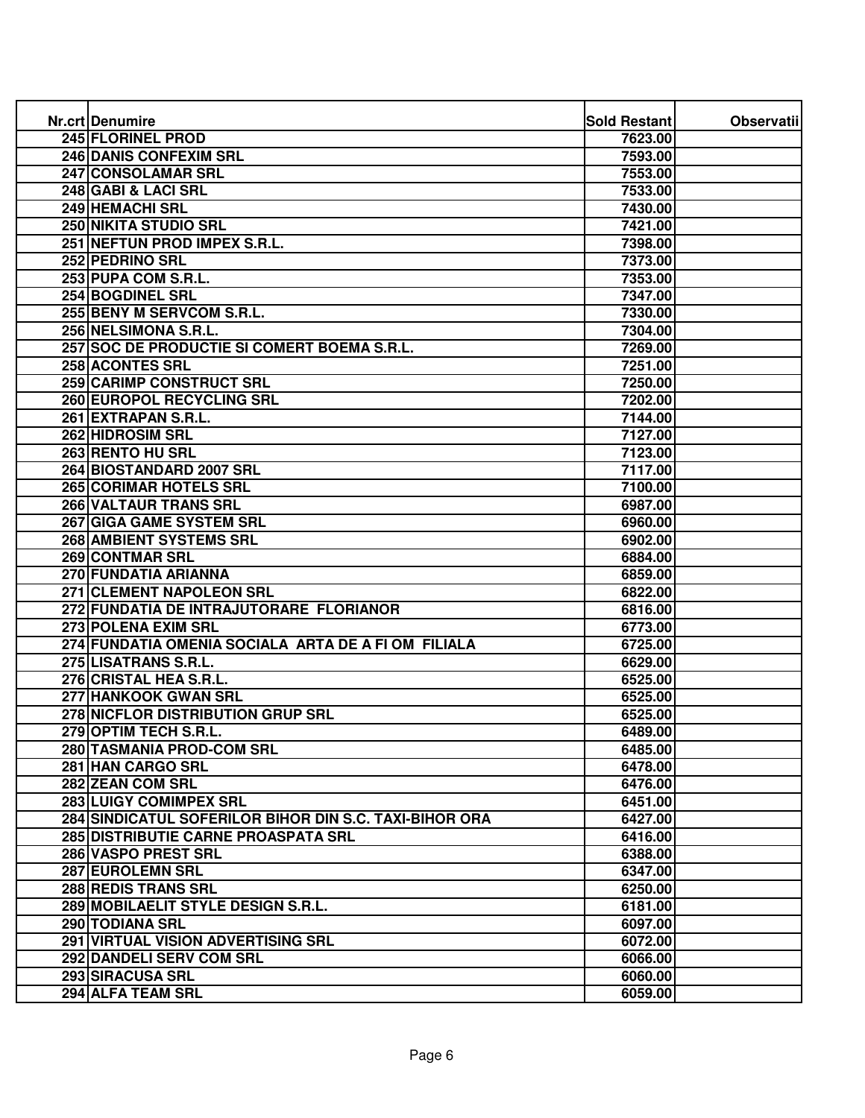| Nr.crt Denumire                                        | Sold Restant | <b>Observatii</b> |
|--------------------------------------------------------|--------------|-------------------|
| 245 FLORINEL PROD                                      | 7623.00      |                   |
| <b>246 DANIS CONFEXIM SRL</b>                          | 7593.00      |                   |
| 247 CONSOLAMAR SRL                                     | 7553.00      |                   |
| 248 GABI & LACI SRL                                    | 7533.00      |                   |
| 249 HEMACHI SRL                                        | 7430.00      |                   |
| 250 NIKITA STUDIO SRL                                  | 7421.00      |                   |
| 251 NEFTUN PROD IMPEX S.R.L.                           | 7398.00      |                   |
| 252 PEDRINO SRL                                        | 7373.00      |                   |
| 253 PUPA COM S.R.L.                                    | 7353.00      |                   |
| 254 BOGDINEL SRL                                       | 7347.00      |                   |
| 255 BENY M SERVCOM S.R.L.                              | 7330.00      |                   |
| 256 NELSIMONA S.R.L.                                   | 7304.00      |                   |
| 257 SOC DE PRODUCTIE SI COMERT BOEMA S.R.L.            | 7269.00      |                   |
| 258 ACONTES SRL                                        | 7251.00      |                   |
| 259 CARIMP CONSTRUCT SRL                               | 7250.00      |                   |
| 260 EUROPOL RECYCLING SRL                              | 7202.00      |                   |
| 261 EXTRAPAN S.R.L.                                    | 7144.00      |                   |
| <b>262 HIDROSIM SRL</b>                                | 7127.00      |                   |
| 263 RENTO HU SRL                                       | 7123.00      |                   |
| 264 BIOSTANDARD 2007 SRL                               | 7117.00      |                   |
| 265 CORIMAR HOTELS SRL                                 | 7100.00      |                   |
| 266 VALTAUR TRANS SRL                                  | 6987.00      |                   |
| 267 GIGA GAME SYSTEM SRL                               | 6960.00      |                   |
| <b>268 AMBIENT SYSTEMS SRL</b>                         | 6902.00      |                   |
| <b>269 CONTMAR SRL</b>                                 | 6884.00      |                   |
| 270 FUNDATIA ARIANNA                                   | 6859.00      |                   |
| 271 CLEMENT NAPOLEON SRL                               | 6822.00      |                   |
| 272 FUNDATIA DE INTRAJUTORARE FLORIANOR                | 6816.00      |                   |
| 273 POLENA EXIM SRL                                    | 6773.00      |                   |
| 274 FUNDATIA OMENIA SOCIALA ARTA DE A FI OM FILIALA    | 6725.00      |                   |
| 275 LISATRANS S.R.L.                                   | 6629.00      |                   |
| 276 CRISTAL HEA S.R.L.                                 | 6525.00      |                   |
| 277 HANKOOK GWAN SRL                                   | 6525.00      |                   |
| <b>278 NICFLOR DISTRIBUTION GRUP SRL</b>               | 6525.00      |                   |
| 279 OPTIM TECH S.R.L                                   | 6489.00      |                   |
| 280 TASMANIA PROD-COM SRL                              | 6485.00      |                   |
| 281 HAN CARGO SRL                                      | 6478.00      |                   |
| 282 ZEAN COM SRL                                       | 6476.00      |                   |
| 283 LUIGY COMIMPEX SRL                                 | 6451.00      |                   |
| 284 SINDICATUL SOFERILOR BIHOR DIN S.C. TAXI-BIHOR ORA | 6427.00      |                   |
| <b>285 DISTRIBUTIE CARNE PROASPATA SRL</b>             | 6416.00      |                   |
| 286 VASPO PREST SRL                                    | 6388.00      |                   |
| 287 EUROLEMN SRL                                       | 6347.00      |                   |
| 288 REDIS TRANS SRL                                    | 6250.00      |                   |
| 289 MOBILAELIT STYLE DESIGN S.R.L.                     | 6181.00      |                   |
| 290 TODIANA SRL                                        | 6097.00      |                   |
| 291 VIRTUAL VISION ADVERTISING SRL                     | 6072.00      |                   |
| 292 DANDELI SERV COM SRL                               | 6066.00      |                   |
| 293 SIRACUSA SRL                                       | 6060.00      |                   |
| 294 ALFA TEAM SRL                                      | 6059.00      |                   |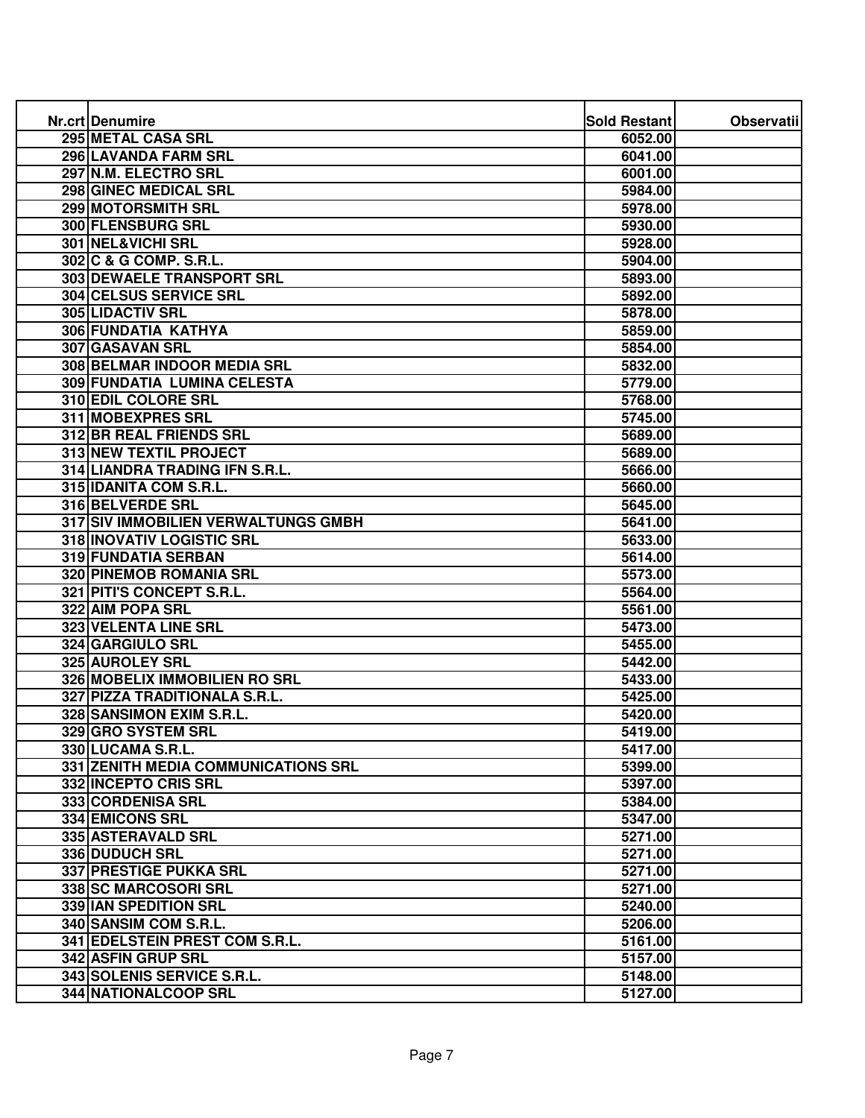| Nr.crt Denumire                     | <b>Sold Restant</b> | <b>Observatii</b> |
|-------------------------------------|---------------------|-------------------|
| 295 METAL CASA SRL                  | 6052.00             |                   |
| 296 LAVANDA FARM SRL                | 6041.00             |                   |
| 297 N.M. ELECTRO SRL                | 6001.00             |                   |
| 298 GINEC MEDICAL SRL               | 5984.00             |                   |
| 299 MOTORSMITH SRL                  | 5978.00             |                   |
| 300 FLENSBURG SRL                   | 5930.00             |                   |
| 301 NEL&VICHI SRL                   | 5928.00             |                   |
| 302 C & G COMP. S.R.L.              | 5904.00             |                   |
| 303 DEWAELE TRANSPORT SRL           | 5893.00             |                   |
| 304 CELSUS SERVICE SRL              | 5892.00             |                   |
| 305 LIDACTIV SRL                    | 5878.00             |                   |
| 306 FUNDATIA KATHYA                 | 5859.00             |                   |
| 307 GASAVAN SRL                     | 5854.00             |                   |
| 308 BELMAR INDOOR MEDIA SRL         | 5832.00             |                   |
| 309 FUNDATIA LUMINA CELESTA         | 5779.00             |                   |
| 310 EDIL COLORE SRL                 | 5768.00             |                   |
| 311 MOBEXPRES SRL                   | 5745.00             |                   |
| 312 BR REAL FRIENDS SRL             | 5689.00             |                   |
| <b>313 NEW TEXTIL PROJECT</b>       | 5689.00             |                   |
| 314 LIANDRA TRADING IFN S.R.L.      | 5666.00             |                   |
| 315 IDANITA COM S.R.L.              | 5660.00             |                   |
| 316 BELVERDE SRL                    | 5645.00             |                   |
| 317 SIV IMMOBILIEN VERWALTUNGS GMBH | 5641.00             |                   |
| 318 INOVATIV LOGISTIC SRL           | 5633.00             |                   |
| 319 FUNDATIA SERBAN                 | 5614.00             |                   |
| 320 PINEMOB ROMANIA SRL             | 5573.00             |                   |
| 321 PITI'S CONCEPT S.R.L.           | 5564.00             |                   |
| 322 AIM POPA SRL                    | 5561.00             |                   |
| 323 VELENTA LINE SRL                | 5473.00             |                   |
| 324 GARGIULO SRL                    | 5455.00             |                   |
| 325 AUROLEY SRL                     | 5442.00             |                   |
| 326 MOBELIX IMMOBILIEN RO SRL       | 5433.00             |                   |
| 327 PIZZA TRADITIONALA S.R.L.       | 5425.00             |                   |
| 328 SANSIMON EXIM S.R.L.            | 5420.00             |                   |
| 329 GRO SYSTEM SRL                  | 5419.00             |                   |
| 330 LUCAMA S.R.L.                   | 5417.00             |                   |
| 331 ZENITH MEDIA COMMUNICATIONS SRL | 5399.00             |                   |
| 332 INCEPTO CRIS SRL                | 5397.00             |                   |
| 333 CORDENISA SRL                   | 5384.00             |                   |
| 334 EMICONS SRL                     | 5347.00             |                   |
| 335 ASTERAVALD SRL                  | 5271.00             |                   |
| 336 DUDUCH SRL                      | 5271.00             |                   |
| 337 PRESTIGE PUKKA SRL              | 5271.00             |                   |
| 338 SC MARCOSORI SRL                | 5271.00             |                   |
| 339 IAN SPEDITION SRL               | 5240.00             |                   |
| 340 SANSIM COM S.R.L.               | 5206.00             |                   |
| 341 EDELSTEIN PREST COM S.R.L.      | 5161.00             |                   |
| 342 ASFIN GRUP SRL                  | 5157.00             |                   |
| 343 SOLENIS SERVICE S.R.L.          | 5148.00             |                   |
| <b>344 NATIONALCOOP SRL</b>         | 5127.00             |                   |